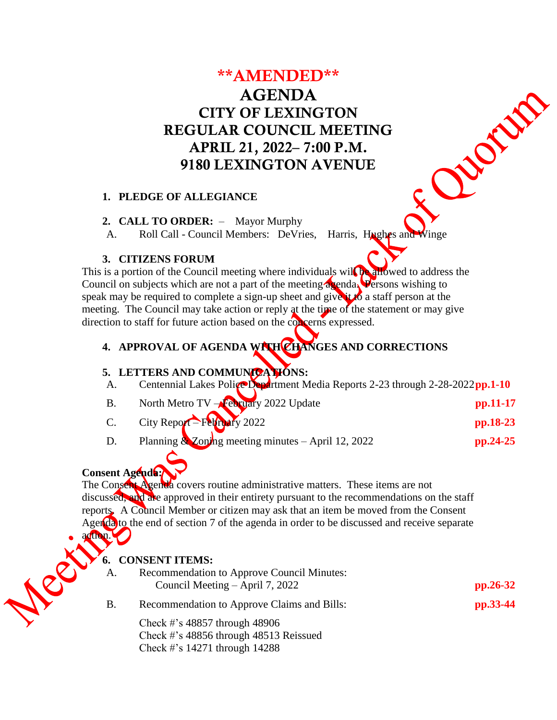# \*\*AMENDED\*\* AGENDA CITY OF LEXINGTON REGULAR COUNCIL MEETING APRIL 21, 2022– 7:00 P.M. 9180 LEXINGTON AVENUE

Chomp

#### **1. PLEDGE OF ALLEGIANCE**

#### **2. CALL TO ORDER:** – Mayor Murphy

A. Roll Call - Council Members: DeVries, Harris, Hughes and Winge

#### **3. CITIZENS FORUM**

This is a portion of the Council meeting where individuals will be allowed to address the Council on subjects which are not a part of the meeting agenda. Persons wishing to speak may be required to complete a sign-up sheet and give it to a staff person at the meeting. The Council may take action or reply at the time of the statement or may give direction to staff for future action based on the concerns expressed.

# **4. APPROVAL OF AGENDA WITH CHANGES AND CORRECTIONS**

### **5. LETTERS AND COMMUNICATIONS:**

| A. |  |  |  | Centennial Lakes Police Department Media Reports 2-23 through 2-28-2022pp.1-10 |  |  |
|----|--|--|--|--------------------------------------------------------------------------------|--|--|
|----|--|--|--|--------------------------------------------------------------------------------|--|--|

- B. North Metro TV **February** 2022 Update **pp.11-17**
- C. City Report February 2022 **pp.18-23**
- D. Planning & Zoning meeting minutes April 12, 2022 **pp.24-25**

# **Consent Agenda:**

The Consent Agenda covers routine administrative matters. These items are not discussed, and are approved in their entirety pursuant to the recommendations on the staff reports. A Council Member or citizen may ask that an item be moved from the Consent Agenda to the end of section 7 of the agenda in order to be discussed and receive separate

action.

#### **6. CONSENT ITEMS:**

| <b>Recommendation to Approve Council Minutes:</b> |            |  |  |
|---------------------------------------------------|------------|--|--|
| Council Meeting $-$ April 7, 2022                 | $pp.26-32$ |  |  |
| Recommendation to Approve Claims and Bills:       | pp.33-44   |  |  |

Check #'s 48857 through 48906 Check #'s 48856 through 48513 Reissued Check #'s 14271 through 14288